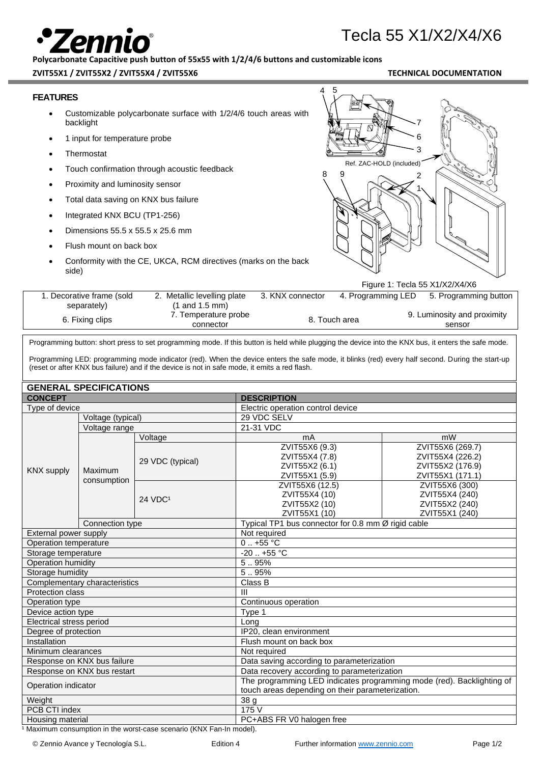# ור

## Tecla 55 X1/X2/X4/X6

**Polycarbonate Capacitive push button of 55x55 with 1/2/4/6 buttons and customizable icons**

### **ZVIT55X1 / ZVIT55X2 / ZVIT55X4 / ZVIT55X6 TECHNICAL DOCUMENTATION**

| <b>FEATURES</b>                   |                                 |                                                                                               | 4                                                                   | 5                  |                                                                                                                                                      |
|-----------------------------------|---------------------------------|-----------------------------------------------------------------------------------------------|---------------------------------------------------------------------|--------------------|------------------------------------------------------------------------------------------------------------------------------------------------------|
|                                   | backlight                       | Customizable polycarbonate surface with 1/2/4/6 touch areas with                              |                                                                     |                    |                                                                                                                                                      |
|                                   | 1 input for temperature probe   |                                                                                               |                                                                     |                    | 6                                                                                                                                                    |
|                                   | Thermostat                      |                                                                                               |                                                                     |                    | 3                                                                                                                                                    |
|                                   |                                 | Touch confirmation through acoustic feedback                                                  |                                                                     |                    | Ref. ZAC-HOLD (included)                                                                                                                             |
|                                   | Proximity and luminosity sensor |                                                                                               | 8                                                                   |                    |                                                                                                                                                      |
|                                   |                                 | Total data saving on KNX bus failure                                                          |                                                                     |                    |                                                                                                                                                      |
|                                   |                                 |                                                                                               |                                                                     |                    |                                                                                                                                                      |
|                                   | Integrated KNX BCU (TP1-256)    |                                                                                               |                                                                     |                    |                                                                                                                                                      |
|                                   |                                 | Dimensions 55.5 x 55.5 x 25.6 mm                                                              |                                                                     |                    |                                                                                                                                                      |
|                                   | Flush mount on back box         |                                                                                               |                                                                     |                    |                                                                                                                                                      |
| side)                             |                                 | Conformity with the CE, UKCA, RCM directives (marks on the back                               |                                                                     |                    | Figure 1: Tecla 55 X1/X2/X4/X6                                                                                                                       |
|                                   | 1. Decorative frame (sold       | 2. Metallic levelling plate                                                                   | 3. KNX connector                                                    | 4. Programming LED | 5. Programming button                                                                                                                                |
|                                   | separately)                     | $(1$ and $1.5$ mm)                                                                            |                                                                     |                    |                                                                                                                                                      |
|                                   | 6. Fixing clips                 | 7. Temperature probe<br>connector                                                             |                                                                     | 8. Touch area      | 9. Luminosity and proximity<br>sensor                                                                                                                |
|                                   |                                 |                                                                                               |                                                                     |                    | Programming button: short press to set programming mode. If this button is held while plugging the device into the KNX bus, it enters the safe mode. |
|                                   |                                 | (reset or after KNX bus failure) and if the device is not in safe mode, it emits a red flash. |                                                                     |                    | Programming LED: programming mode indicator (red). When the device enters the safe mode, it blinks (red) every half second. During the start-up      |
|                                   | <b>GENERAL SPECIFICATIONS</b>   |                                                                                               |                                                                     |                    |                                                                                                                                                      |
| <b>CONCEPT</b>                    |                                 |                                                                                               | <b>DESCRIPTION</b>                                                  |                    |                                                                                                                                                      |
| Type of device                    |                                 |                                                                                               | Electric operation control device                                   |                    |                                                                                                                                                      |
|                                   | Voltage (typical)               |                                                                                               | 29 VDC SELV<br>21-31 VDC                                            |                    |                                                                                                                                                      |
|                                   | Voltage range                   | Voltage                                                                                       | mA                                                                  |                    | mW                                                                                                                                                   |
|                                   |                                 |                                                                                               | ZVIT55X6 (9.3)                                                      |                    | ZVIT55X6 (269.7)                                                                                                                                     |
|                                   |                                 | 29 VDC (typical)                                                                              | ZVIT55X4 (7.8)                                                      |                    | ZVIT55X4 (226.2)                                                                                                                                     |
| <b>KNX supply</b>                 | Maximum                         |                                                                                               | ZVIT55X2 (6.1)<br>ZVIT55X1 (5.9)                                    |                    | ZVIT55X2 (176.9)<br>ZVIT55X1 (171.1)                                                                                                                 |
|                                   | consumption                     |                                                                                               | ZVIT55X6 (12.5)                                                     |                    | ZVIT55X6 (300)                                                                                                                                       |
|                                   |                                 | 24 VDC <sup>1</sup>                                                                           | ZVIT55X4 (10)                                                       |                    | ZVIT55X4 (240)                                                                                                                                       |
|                                   |                                 |                                                                                               | ZVIT55X2 (10)                                                       |                    | ZVIT55X2 (240)                                                                                                                                       |
|                                   | Connection type                 |                                                                                               | ZVIT55X1 (10)<br>Typical TP1 bus connector for 0.8 mm Ø rigid cable |                    | ZVIT55X1 (240)                                                                                                                                       |
| External power supply             |                                 |                                                                                               | Not required                                                        |                    |                                                                                                                                                      |
| Operation temperature             |                                 |                                                                                               | $0.7 + 55$ °C                                                       |                    |                                                                                                                                                      |
| Storage temperature               |                                 |                                                                                               | $-20$ +55 °C                                                        |                    |                                                                                                                                                      |
| <b>Operation humidity</b>         |                                 |                                                                                               | 5.95%                                                               |                    |                                                                                                                                                      |
| Storage humidity                  |                                 |                                                                                               | 5.95%                                                               |                    |                                                                                                                                                      |
| Protection class                  | Complementary characteristics   |                                                                                               | Class B<br>Ш                                                        |                    |                                                                                                                                                      |
| Operation type                    |                                 |                                                                                               | Continuous operation                                                |                    |                                                                                                                                                      |
| Device action type                |                                 |                                                                                               | Type 1                                                              |                    |                                                                                                                                                      |
| Electrical stress period          |                                 |                                                                                               | Long                                                                |                    |                                                                                                                                                      |
| Degree of protection              |                                 |                                                                                               | IP20, clean environment                                             |                    |                                                                                                                                                      |
| Installation                      |                                 |                                                                                               | Flush mount on back box                                             |                    |                                                                                                                                                      |
| Minimum clearances                |                                 |                                                                                               | Not required                                                        |                    |                                                                                                                                                      |
|                                   | Response on KNX bus failure     |                                                                                               | Data saving according to parameterization                           |                    |                                                                                                                                                      |
|                                   | Response on KNX bus restart     |                                                                                               | Data recovery according to parameterization                         |                    | The programming LED indicates programming mode (red). Backlighting of                                                                                |
| Operation indicator               |                                 |                                                                                               | touch areas depending on their parameterization.                    |                    |                                                                                                                                                      |
| Weight                            |                                 |                                                                                               | 38 g                                                                |                    |                                                                                                                                                      |
| PCB CTI index<br>Housing material |                                 |                                                                                               | 175 V<br>PC+ABS FR V0 halogen free                                  |                    |                                                                                                                                                      |
|                                   |                                 |                                                                                               |                                                                     |                    |                                                                                                                                                      |

1 Maximum consumption in the worst-case scenario (KNX Fan-In model).